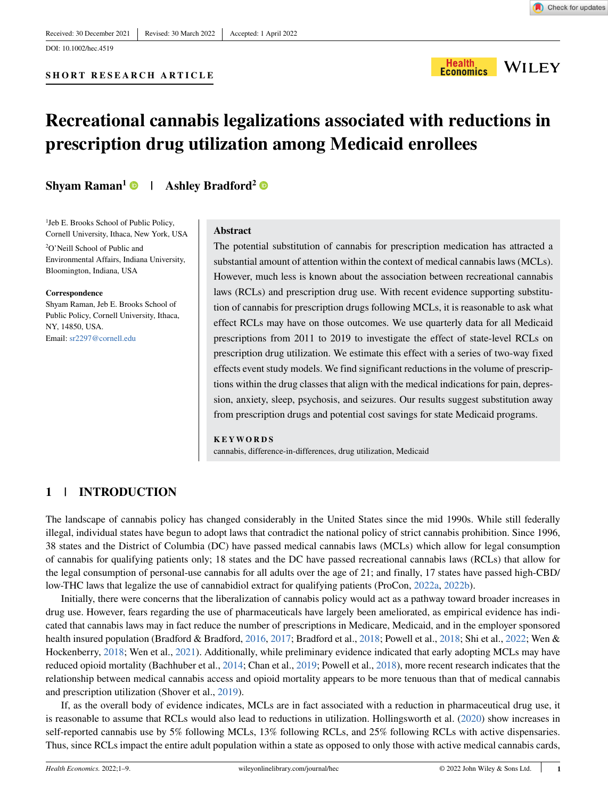# **SHORT RESEARCH ARTICLE**



# **Recreational cannabis legalizations associated with reductions in prescription drug utilization among Medicaid enrollees**

# **Shyam Raman<sup>1</sup>**  $\bullet$  **| Ashley Bradford<sup>2</sup>**

1 Jeb E. Brooks School of Public Policy, Cornell University, Ithaca, New York, USA

2 O'Neill School of Public and Environmental Affairs, Indiana University, Bloomington, Indiana, USA

#### **Correspondence**

Shyam Raman, Jeb E. Brooks School of Public Policy, Cornell University, Ithaca, NY, 14850, USA. Email: sr2297@cornell.edu

#### **Abstract**

The potential substitution of cannabis for prescription medication has attracted a substantial amount of attention within the context of medical cannabis laws (MCLs). However, much less is known about the association between recreational cannabis laws (RCLs) and prescription drug use. With recent evidence supporting substitution of cannabis for prescription drugs following MCLs, it is reasonable to ask what effect RCLs may have on those outcomes. We use quarterly data for all Medicaid prescriptions from 2011 to 2019 to investigate the effect of state-level RCLs on prescription drug utilization. We estimate this effect with a series of two-way fixed effects event study models. We find significant reductions in the volume of prescriptions within the drug classes that align with the medical indications for pain, depression, anxiety, sleep, psychosis, and seizures. Our results suggest substitution away from prescription drugs and potential cost savings for state Medicaid programs.

#### **KEYWORDS**

cannabis, difference-in-differences, drug utilization, Medicaid

# **1 | INTRODUCTION**

The landscape of cannabis policy has changed considerably in the United States since the mid 1990s. While still federally illegal, individual states have begun to adopt laws that contradict the national policy of strict cannabis prohibition. Since 1996, 38 states and the District of Columbia (DC) have passed medical cannabis laws (MCLs) which allow for legal consumption of cannabis for qualifying patients only; 18 states and the DC have passed recreational cannabis laws (RCLs) that allow for the legal consumption of personal-use cannabis for all adults over the age of 21; and finally, 17 states have passed high-CBD/ low-THC laws that legalize the use of cannabidiol extract for qualifying patients (ProCon, [2022a](#page-5-0), [2022b](#page-5-1)).

Initially, there were concerns that the liberalization of cannabis policy would act as a pathway toward broader increases in drug use. However, fears regarding the use of pharmaceuticals have largely been ameliorated, as empirical evidence has indicated that cannabis laws may in fact reduce the number of prescriptions in Medicare, Medicaid, and in the employer sponsored health insured population (Bradford & Bradford, [2016](#page-4-0), [2017](#page-4-1); Bradford et al., [2018](#page-5-2); Powell et al., [2018;](#page-5-3) Shi et al., [2022](#page-5-4); Wen & Hockenberry, [2018;](#page-5-5) Wen et al., [2021\)](#page-5-6). Additionally, while preliminary evidence indicated that early adopting MCLs may have reduced opioid mortality (Bachhuber et al., [2014](#page-4-2); Chan et al., [2019](#page-5-7); Powell et al., [2018\)](#page-5-3), more recent research indicates that the relationship between medical cannabis access and opioid mortality appears to be more tenuous than that of medical cannabis and prescription utilization (Shover et al., [2019](#page-5-8)).

If, as the overall body of evidence indicates, MCLs are in fact associated with a reduction in pharmaceutical drug use, it is reasonable to assume that RCLs would also lead to reductions in utilization. Hollingsworth et al. [\(2020](#page-5-9)) show increases in self-reported cannabis use by 5% following MCLs, 13% following RCLs, and 25% following RCLs with active dispensaries. Thus, since RCLs impact the entire adult population within a state as opposed to only those with active medical cannabis cards,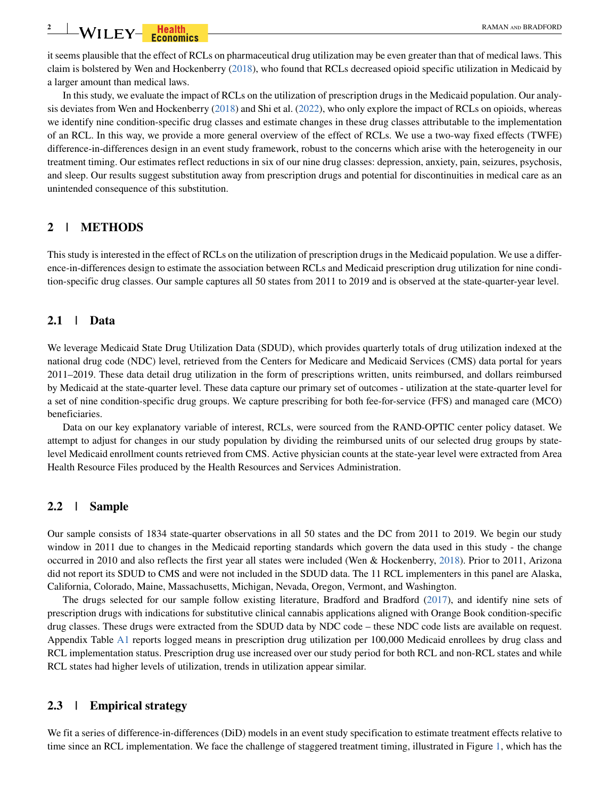it seems plausible that the effect of RCLs on pharmaceutical drug utilization may be even greater than that of medical laws. This claim is bolstered by Wen and Hockenberry [\(2018](#page-5-5)), who found that RCLs decreased opioid specific utilization in Medicaid by a larger amount than medical laws.

In this study, we evaluate the impact of RCLs on the utilization of prescription drugs in the Medicaid population. Our analysis deviates from Wen and Hockenberry [\(2018](#page-5-5)) and Shi et al. ([2022\)](#page-5-4), who only explore the impact of RCLs on opioids, whereas we identify nine condition-specific drug classes and estimate changes in these drug classes attributable to the implementation of an RCL. In this way, we provide a more general overview of the effect of RCLs. We use a two-way fixed effects (TWFE) difference-in-differences design in an event study framework, robust to the concerns which arise with the heterogeneity in our treatment timing. Our estimates reflect reductions in six of our nine drug classes: depression, anxiety, pain, seizures, psychosis, and sleep. Our results suggest substitution away from prescription drugs and potential for discontinuities in medical care as an unintended consequence of this substitution.

# <span id="page-1-1"></span>**2 | METHODS**

This study is interested in the effect of RCLs on the utilization of prescription drugs in the Medicaid population. We use a difference-in-differences design to estimate the association between RCLs and Medicaid prescription drug utilization for nine condition-specific drug classes. Our sample captures all 50 states from 2011 to 2019 and is observed at the state-quarter-year level.

# **2.1 | Data**

We leverage Medicaid State Drug Utilization Data (SDUD), which provides quarterly totals of drug utilization indexed at the national drug code (NDC) level, retrieved from the Centers for Medicare and Medicaid Services (CMS) data portal for years 2011–2019. These data detail drug utilization in the form of prescriptions written, units reimbursed, and dollars reimbursed by Medicaid at the state-quarter level. These data capture our primary set of outcomes - utilization at the state-quarter level for a set of nine condition-specific drug groups. We capture prescribing for both fee-for-service (FFS) and managed care (MCO) beneficiaries.

Data on our key explanatory variable of interest, RCLs, were sourced from the RAND-OPTIC center policy dataset. We attempt to adjust for changes in our study population by dividing the reimbursed units of our selected drug groups by statelevel Medicaid enrollment counts retrieved from CMS. Active physician counts at the state-year level were extracted from Area Health Resource Files produced by the Health Resources and Services Administration.

# <span id="page-1-0"></span>**2.2 | Sample**

Our sample consists of 1834 state-quarter observations in all 50 states and the DC from 2011 to 2019. We begin our study window in 2011 due to changes in the Medicaid reporting standards which govern the data used in this study - the change occurred in 2010 and also reflects the first year all states were included (Wen & Hockenberry, [2018](#page-5-5)). Prior to 2011, Arizona did not report its SDUD to CMS and were not included in the SDUD data. The 11 RCL implementers in this panel are Alaska, California, Colorado, Maine, Massachusetts, Michigan, Nevada, Oregon, Vermont, and Washington.

The drugs selected for our sample follow existing literature, Bradford and Bradford [\(2017](#page-4-1)), and identify nine sets of prescription drugs with indications for substitutive clinical cannabis applications aligned with Orange Book condition-specific drug classes. These drugs were extracted from the SDUD data by NDC code – these NDC code lists are available on request. Appendix Table [A1](#page-5-10) reports logged means in prescription drug utilization per 100,000 Medicaid enrollees by drug class and RCL implementation status. Prescription drug use increased over our study period for both RCL and non-RCL states and while RCL states had higher levels of utilization, trends in utilization appear similar.

## **2.3 | Empirical strategy**

We fit a series of difference-in-differences (DiD) models in an event study specification to estimate treatment effects relative to time since an RCL implementation. We face the challenge of staggered treatment timing, illustrated in Figure [1,](#page-2-0) which has the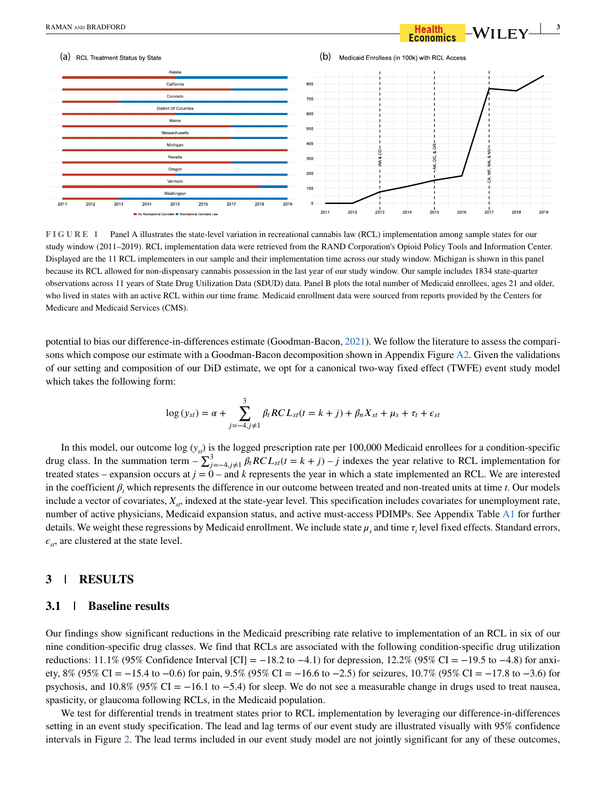

<span id="page-2-0"></span>**FIGURE 1** Panel A illustrates the state-level variation in recreational cannabis law (RCL) implementation among sample states for our study window (2011–2019). RCL implementation data were retrieved from the RAND Corporation's Opioid Policy Tools and Information Center. Displayed are the 11 RCL implementers in our sample and their implementation time across our study window. Michigan is shown in this panel because its RCL allowed for non-dispensary cannabis possession in the last year of our study window. Our sample includes 1834 state-quarter observations across 11 years of State Drug Utilization Data (SDUD) data. Panel B plots the total number of Medicaid enrollees, ages 21 and older, who lived in states with an active RCL within our time frame. Medicaid enrollment data were sourced from reports provided by the Centers for Medicare and Medicaid Services (CMS).

potential to bias our difference-in-differences estimate (Goodman-Bacon, [2021\)](#page-5-11). We follow the literature to assess the compari-sons which compose our estimate with a Goodman-Bacon decomposition shown in Appendix Figure [A2](#page-6-0). Given the validations of our setting and composition of our DiD estimate, we opt for a canonical two-way fixed effect (TWFE) event study model which takes the following form:

$$
\log(y_{st}) = \alpha + \sum_{j=-4, j\neq 1}^{3} \beta_t RCL_{st}(t = k + j) + \beta_n X_{st} + \mu_s + \tau_t + \epsilon_{st}
$$

In this model, our outcome log  $(y_{s})$  is the logged prescription rate per 100,000 Medicaid enrollees for a condition-specific drug class. In the summation term  $-\sum_{j=-4, j\neq 1}^{3} \beta_t RCL_{st}(t = k + j) - j$  indexes the year relative to RCL implementation for treated states – expansion occurs at  $j = 0$  – and  $k$  represents the year in which a state implemented an RCL. We are interested in the coefficient  $\beta_t$  which represents the difference in our outcome between treated and non-treated units at time *t*. Our models include a vector of covariates,  $X_{st}$ , indexed at the state-year level. This specification includes covariates for unemployment rate, number of active physicians, Medicaid expansion status, and active must-access PDIMPs. See Appendix Table [A1](#page-5-10) for further details. We weight these regressions by Medicaid enrollment. We include state  $\mu_s$  and time  $\tau_t$  level fixed effects. Standard errors,  $\epsilon_{st}$ , are clustered at the state level.

# **3 | RESULTS**

#### **3.1 | Baseline results**

Our findings show significant reductions in the Medicaid prescribing rate relative to implementation of an RCL in six of our nine condition-specific drug classes. We find that RCLs are associated with the following condition-specific drug utilization reductions: 11.1% (95% Confidence Interval [CI] = −18.2 to −4.1) for depression, 12.2% (95% CI = −19.5 to −4.8) for anxiety, 8% (95% CI = −15.4 to −0.6) for pain, 9.5% (95% CI = −16.6 to −2.5) for seizures, 10.7% (95% CI = −17.8 to −3.6) for psychosis, and  $10.8\%$  (95% CI = -16.1 to -5.4) for sleep. We do not see a measurable change in drugs used to treat nausea, spasticity, or glaucoma following RCLs, in the Medicaid population.

We test for differential trends in treatment states prior to RCL implementation by leveraging our difference-in-differences setting in an event study specification. The lead and lag terms of our event study are illustrated visually with 95% confidence intervals in Figure [2.](#page-3-0) The lead terms included in our event study model are not jointly significant for any of these outcomes,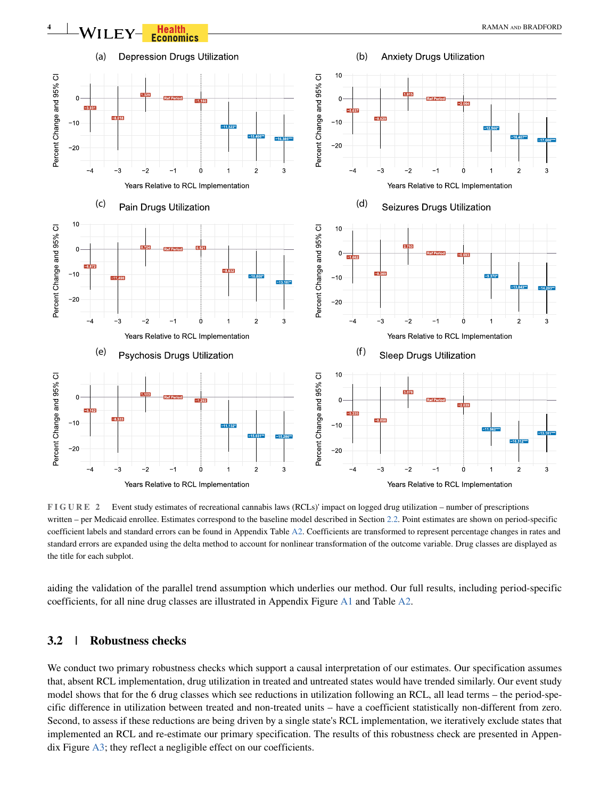

<span id="page-3-0"></span>**FIGURE 2** Event study estimates of recreational cannabis laws (RCLs)' impact on logged drug utilization – number of prescriptions written – per Medicaid enrollee. Estimates correspond to the baseline model described in Section [2.2.](#page-1-0) Point estimates are shown on period-specific coefficient labels and standard errors can be found in Appendix Table [A2](#page-6-0). Coefficients are transformed to represent percentage changes in rates and standard errors are expanded using the delta method to account for nonlinear transformation of the outcome variable. Drug classes are displayed as the title for each subplot.

aiding the validation of the parallel trend assumption which underlies our method. Our full results, including period-specific coefficients, for all nine drug classes are illustrated in Appendix Figure [A1](#page-5-10) and Table [A2](#page-6-0).

## **3.2 | Robustness checks**

We conduct two primary robustness checks which support a causal interpretation of our estimates. Our specification assumes that, absent RCL implementation, drug utilization in treated and untreated states would have trended similarly. Our event study model shows that for the 6 drug classes which see reductions in utilization following an RCL, all lead terms – the period-specific difference in utilization between treated and non-treated units – have a coefficient statistically non-different from zero. Second, to assess if these reductions are being driven by a single state's RCL implementation, we iteratively exclude states that implemented an RCL and re-estimate our primary specification. The results of this robustness check are presented in Appendix Figure [A3;](#page-8-0) they reflect a negligible effect on our coefficients.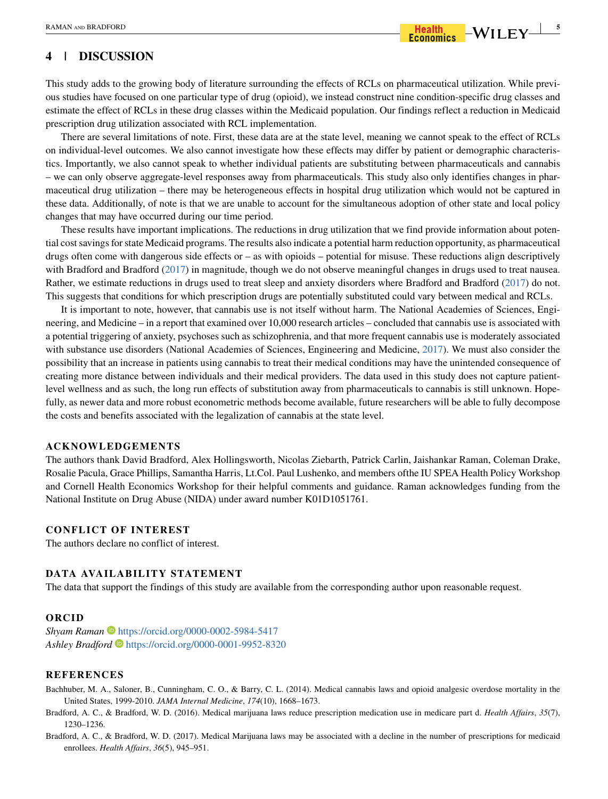# **4 | DISCUSSION**

This study adds to the growing body of literature surrounding the effects of RCLs on pharmaceutical utilization. While previous studies have focused on one particular type of drug (opioid), we instead construct nine condition-specific drug classes and estimate the effect of RCLs in these drug classes within the Medicaid population. Our findings reflect a reduction in Medicaid prescription drug utilization associated with RCL implementation.

There are several limitations of note. First, these data are at the state level, meaning we cannot speak to the effect of RCLs on individual-level outcomes. We also cannot investigate how these effects may differ by patient or demographic characteristics. Importantly, we also cannot speak to whether individual patients are substituting between pharmaceuticals and cannabis – we can only observe aggregate-level responses away from pharmaceuticals. This study also only identifies changes in pharmaceutical drug utilization – there may be heterogeneous effects in hospital drug utilization which would not be captured in these data. Additionally, of note is that we are unable to account for the simultaneous adoption of other state and local policy changes that may have occurred during our time period.

These results have important implications. The reductions in drug utilization that we find provide information about potential cost savings for state Medicaid programs. The results also indicate a potential harm reduction opportunity, as pharmaceutical drugs often come with dangerous side effects or – as with opioids – potential for misuse. These reductions align descriptively with Bradford and Bradford ([2017\)](#page-4-1) in magnitude, though we do not observe meaningful changes in drugs used to treat nausea. Rather, we estimate reductions in drugs used to treat sleep and anxiety disorders where Bradford and Bradford ([2017\)](#page-4-1) do not. This suggests that conditions for which prescription drugs are potentially substituted could vary between medical and RCLs.

It is important to note, however, that cannabis use is not itself without harm. The National Academies of Sciences, Engineering, and Medicine – in a report that examined over 10,000 research articles – concluded that cannabis use is associated with a potential triggering of anxiety, psychoses such as schizophrenia, and that more frequent cannabis use is moderately associated with substance use disorders (National Academies of Sciences, Engineering and Medicine, [2017\)](#page-5-12). We must also consider the possibility that an increase in patients using cannabis to treat their medical conditions may have the unintended consequence of creating more distance between individuals and their medical providers. The data used in this study does not capture patientlevel wellness and as such, the long run effects of substitution away from pharmaceuticals to cannabis is still unknown. Hopefully, as newer data and more robust econometric methods become available, future researchers will be able to fully decompose the costs and benefits associated with the legalization of cannabis at the state level.

#### **ACKNOWLEDGEMENTS**

The authors thank David Bradford, Alex Hollingsworth, Nicolas Ziebarth, Patrick Carlin, Jaishankar Raman, Coleman Drake, Rosalie Pacula, Grace Phillips, Samantha Harris, Lt.Col. Paul Lushenko, and members ofthe IU SPEA Health Policy Workshop and Cornell Health Economics Workshop for their helpful comments and guidance. Raman acknowledges funding from the National Institute on Drug Abuse (NIDA) under award number K01D1051761.

### **CONFLICT OF INTEREST**

The authors declare no conflict of interest.

## **DATA AVAILABILITY STATEMENT**

The data that support the findings of this study are available from the corresponding author upon reasonable request.

#### **ORCID**

*Shyam Raman* <https://orcid.org/0000-0002-5984-5417> *Ashley Bradford* <https://orcid.org/0000-0001-9952-8320>

#### **REFERENCES**

- <span id="page-4-2"></span>Bachhuber, M. A., Saloner, B., Cunningham, C. O., & Barry, C. L. (2014). Medical cannabis laws and opioid analgesic overdose mortality in the United States, 1999-2010. *JAMA Internal Medicine*, *174*(10), 1668–1673.
- <span id="page-4-0"></span>Bradford, A. C., & Bradford, W. D. (2016). Medical marijuana laws reduce prescription medication use in medicare part d. *Health Affairs*, *35*(7), 1230–1236.
- <span id="page-4-1"></span>Bradford, A. C., & Bradford, W. D. (2017). Medical Marijuana laws may be associated with a decline in the number of prescriptions for medicaid enrollees. *Health Affairs*, *36*(5), 945–951.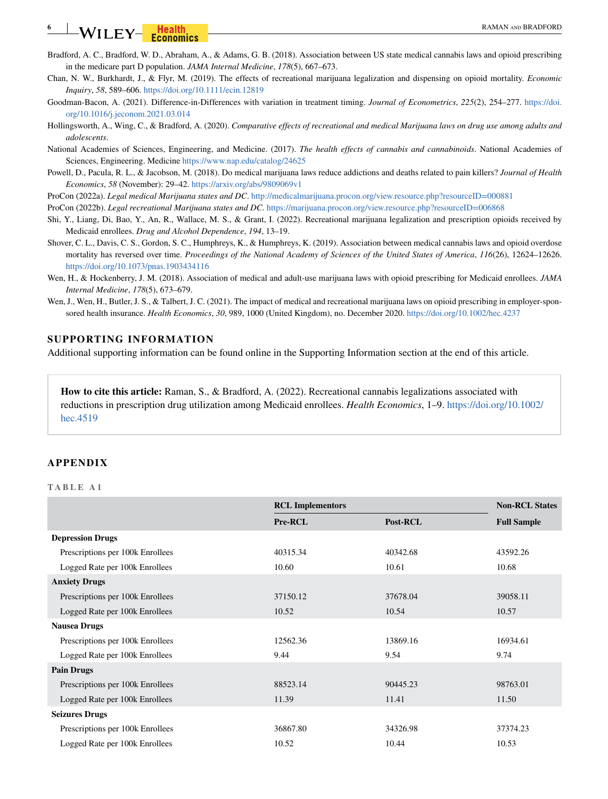# **6 EXAMAN AND BRADFORD** RAMAN AND BRADFORD

- <span id="page-5-2"></span>Bradford, A. C., Bradford, W. D., Abraham, A., & Adams, G. B. (2018). Association between US state medical cannabis laws and opioid prescribing in the medicare part D population. *JAMA Internal Medicine*, *178*(5), 667–673.
- <span id="page-5-7"></span>Chan, N. W., Burkhardt, J., & Flyr, M. (2019). The effects of recreational marijuana legalization and dispensing on opioid mortality. *Economic Inquiry*, *58*, 589–606. <https://doi.org/10.1111/ecin.12819>
- <span id="page-5-11"></span>Goodman-Bacon, A. (2021). Difference-in-Differences with variation in treatment timing. *Journal of Econometrics*, *225*(2), 254–277. [https://doi.](https://doi.org/10.1016/j.jeconom.2021.03.014) [org/10.1016/j.jeconom.2021.03.014](https://doi.org/10.1016/j.jeconom.2021.03.014)
- <span id="page-5-9"></span>Hollingsworth, A., Wing, C., & Bradford, A. (2020). *Comparative effects of recreational and medical Marijuana laws on drug use among adults and adolescents*.
- <span id="page-5-12"></span>National Academies of Sciences, Engineering, and Medicine. (2017). *The health effects of cannabis and cannabinoids*. National Academies of Sciences, Engineering. Medicine <https://www.nap.edu/catalog/24625>
- <span id="page-5-3"></span>Powell, D., Pacula, R. L., & Jacobson, M. (2018). Do medical marijuana laws reduce addictions and deaths related to pain killers? *Journal of Health Economics*, *58* (November): 29–42. <https://arxiv.org/abs/9809069v1>
- <span id="page-5-0"></span>ProCon (2022a). *Legal medical Marijuana states and DC*.<http://medicalmarijuana.procon.org/view.resource.php?resourceID=000881>
- <span id="page-5-1"></span>ProCon (2022b). *Legal recreational Marijuana states and DC*.<https://marijuana.procon.org/view.resource.php?resourceID=006868>
- <span id="page-5-4"></span>Shi, Y., Liang, Di, Bao, Y., An, R., Wallace, M. S., & Grant, I. (2022). Recreational marijuana legalization and prescription opioids received by Medicaid enrollees. *Drug and Alcohol Dependence*, *194*, 13–19.
- <span id="page-5-8"></span>Shover, C. L., Davis, C. S., Gordon, S. C., Humphreys, K., & Humphreys, K. (2019). Association between medical cannabis laws and opioid overdose mortality has reversed over time. *Proceedings of the National Academy of Sciences of the United States of America*, *116*(26), 12624–12626. <https://doi.org/10.1073/pnas.1903434116>
- <span id="page-5-5"></span>Wen, H., & Hockenberry, J. M. (2018). Association of medical and adult-use marijuana laws with opioid prescribing for Medicaid enrollees. *JAMA Internal Medicine*, *178*(5), 673–679.
- <span id="page-5-6"></span>Wen, J., Wen, H., Butler, J. S., & Talbert, J. C. (2021). The impact of medical and recreational marijuana laws on opioid prescribing in employer-sponsored health insurance. *Health Economics*, *30*, 989, 1000 (United Kingdom), no. December 2020. <https://doi.org/10.1002/hec.4237>

#### **SUPPORTING INFORMATION**

Additional supporting information can be found online in the Supporting Information section at the end of this article.

**How to cite this article:** Raman, S., & Bradford, A. (2022). Recreational cannabis legalizations associated with reductions in prescription drug utilization among Medicaid enrollees. *Health Economics*, 1–9. [https://doi.org/10.1002/](https://doi.org/10.1002/hec.4519) [hec.4519](https://doi.org/10.1002/hec.4519)

#### **APPENDIX**

#### <span id="page-5-10"></span>**TABLE A1**

|                                  | <b>RCL Implementors</b> | <b>Non-RCL States</b> |                    |
|----------------------------------|-------------------------|-----------------------|--------------------|
|                                  | Pre-RCL                 | Post-RCL              | <b>Full Sample</b> |
| <b>Depression Drugs</b>          |                         |                       |                    |
| Prescriptions per 100k Enrollees | 40315.34                | 40342.68              | 43592.26           |
| Logged Rate per 100k Enrollees   | 10.60                   | 10.61                 | 10.68              |
| <b>Anxiety Drugs</b>             |                         |                       |                    |
| Prescriptions per 100k Enrollees | 37150.12                | 37678.04              | 39058.11           |
| Logged Rate per 100k Enrollees   | 10.52                   | 10.54                 | 10.57              |
| <b>Nausea Drugs</b>              |                         |                       |                    |
| Prescriptions per 100k Enrollees | 12562.36                | 13869.16              | 16934.61           |
| Logged Rate per 100k Enrollees   | 9.44                    | 9.54                  | 9.74               |
| <b>Pain Drugs</b>                |                         |                       |                    |
| Prescriptions per 100k Enrollees | 88523.14                | 90445.23              | 98763.01           |
| Logged Rate per 100k Enrollees   | 11.39                   | 11.41                 | 11.50              |
| <b>Seizures Drugs</b>            |                         |                       |                    |
| Prescriptions per 100k Enrollees | 36867.80                | 34326.98              | 37374.23           |
| Logged Rate per 100k Enrollees   | 10.52                   | 10.44                 | 10.53              |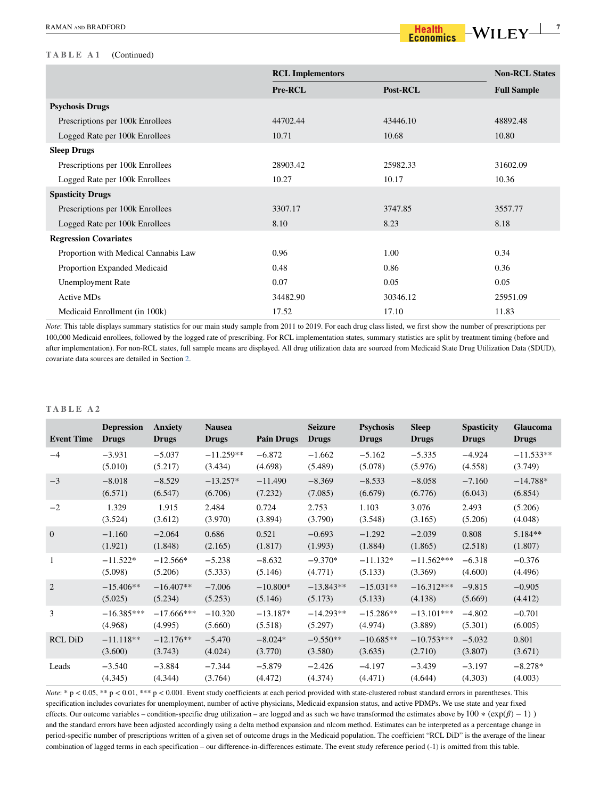#### **TABLE A1** (Continued)

|                                      | <b>RCL Implementors</b> | <b>Non-RCL States</b> |                    |
|--------------------------------------|-------------------------|-----------------------|--------------------|
|                                      | Pre-RCL                 | Post-RCL              | <b>Full Sample</b> |
| <b>Psychosis Drugs</b>               |                         |                       |                    |
| Prescriptions per 100k Enrollees     | 44702.44                | 43446.10              | 48892.48           |
| Logged Rate per 100k Enrollees       | 10.71                   | 10.68                 | 10.80              |
| <b>Sleep Drugs</b>                   |                         |                       |                    |
| Prescriptions per 100k Enrollees     | 28903.42                | 25982.33              | 31602.09           |
| Logged Rate per 100k Enrollees       | 10.27                   | 10.17                 | 10.36              |
| <b>Spasticity Drugs</b>              |                         |                       |                    |
| Prescriptions per 100k Enrollees     | 3307.17                 | 3747.85               | 3557.77            |
| Logged Rate per 100k Enrollees       | 8.10                    | 8.23                  | 8.18               |
| <b>Regression Covariates</b>         |                         |                       |                    |
| Proportion with Medical Cannabis Law | 0.96                    | 1.00                  | 0.34               |
| Proportion Expanded Medicaid         | 0.48                    | 0.86                  | 0.36               |
| <b>Unemployment Rate</b>             | 0.07                    | 0.05                  | 0.05               |
| <b>Active MDs</b>                    | 34482.90                | 30346.12              | 25951.09           |
| Medicaid Enrollment (in 100k)        | 17.52                   | 17.10                 | 11.83              |

*Note*: This table displays summary statistics for our main study sample from 2011 to 2019. For each drug class listed, we first show the number of prescriptions per 100,000 Medicaid enrollees, followed by the logged rate of prescribing. For RCL implementation states, summary statistics are split by treatment timing (before and after implementation). For non-RCL states, full sample means are displayed. All drug utilization data are sourced from Medicaid State Drug Utilization Data (SDUD), covariate data sources are detailed in Section [2](#page-1-1).

#### <span id="page-6-0"></span>**TABLE A2**

| <b>Event Time</b> | <b>Depression</b><br>Drugs | <b>Anxiety</b><br><b>Drugs</b> | <b>Nausea</b><br><b>Drugs</b> | <b>Pain Drugs</b> | <b>Seizure</b><br><b>Drugs</b> | <b>Psychosis</b><br><b>Drugs</b> | <b>Sleep</b><br><b>Drugs</b> | <b>Spasticity</b><br><b>Drugs</b> | <b>Glaucoma</b><br><b>Drugs</b> |
|-------------------|----------------------------|--------------------------------|-------------------------------|-------------------|--------------------------------|----------------------------------|------------------------------|-----------------------------------|---------------------------------|
| $-4$              | $-3.931$                   | $-5.037$                       | $-11.259**$                   | $-6.872$          | $-1.662$                       | $-5.162$                         | $-5.335$                     | $-4.924$                          | $-11.533**$                     |
|                   | (5.010)                    | (5.217)                        | (3.434)                       | (4.698)           | (5.489)                        | (5.078)                          | (5.976)                      | (4.558)                           | (3.749)                         |
| $-3$              | $-8.018$                   | $-8.529$                       | $-13.257*$                    | $-11.490$         | $-8.369$                       | $-8.533$                         | $-8.058$                     | $-7.160$                          | $-14.788*$                      |
|                   | (6.571)                    | (6.547)                        | (6.706)                       | (7.232)           | (7.085)                        | (6.679)                          | (6.776)                      | (6.043)                           | (6.854)                         |
| $-2$              | 1.329                      | 1.915                          | 2.484                         | 0.724             | 2.753                          | 1.103                            | 3.076                        | 2.493                             | (5.206)                         |
|                   | (3.524)                    | (3.612)                        | (3.970)                       | (3.894)           | (3.790)                        | (3.548)                          | (3.165)                      | (5.206)                           | (4.048)                         |
| $\overline{0}$    | $-1.160$                   | $-2.064$                       | 0.686                         | 0.521             | $-0.693$                       | $-1.292$                         | $-2.039$                     | 0.808                             | $5.184**$                       |
|                   | (1.921)                    | (1.848)                        | (2.165)                       | (1.817)           | (1.993)                        | (1.884)                          | (1.865)                      | (2.518)                           | (1.807)                         |
| -1                | $-11.522*$                 | $-12.566*$                     | $-5.238$                      | $-8.632$          | $-9.370*$                      | $-11.132*$                       | $-11.562***$                 | $-6.318$                          | $-0.376$                        |
|                   | (5.098)                    | (5.206)                        | (5.333)                       | (5.146)           | (4.771)                        | (5.133)                          | (3.369)                      | (4.600)                           | (4.496)                         |
| $\overline{2}$    | $-15.406**$                | $-16.407**$                    | $-7.006$                      | $-10.800*$        | $-13.843**$                    | $-15.031**$                      | $-16.312***$                 | $-9.815$                          | $-0.905$                        |
|                   | (5.025)                    | (5.234)                        | (5.253)                       | (5.146)           | (5.173)                        | (5.133)                          | (4.138)                      | (5.669)                           | (4.412)                         |
| 3                 | $-16.385***$               | $-17.666***$                   | $-10.320$                     | $-13.187*$        | $-14.293**$                    | $-15.286**$                      | $-13.101***$                 | $-4.802$                          | $-0.701$                        |
|                   | (4.968)                    | (4.995)                        | (5.660)                       | (5.518)           | (5.297)                        | (4.974)                          | (3.889)                      | (5.301)                           | (6.005)                         |
| <b>RCL DiD</b>    | $-11.118**$                | $-12.176**$                    | $-5.470$                      | $-8.024*$         | $-9.550**$                     | $-10.685**$                      | $-10.753***$                 | $-5.032$                          | 0.801                           |
|                   | (3.600)                    | (3.743)                        | (4.024)                       | (3.770)           | (3.580)                        | (3.635)                          | (2.710)                      | (3.807)                           | (3.671)                         |
| Leads             | $-3.540$                   | $-3.884$                       | $-7.344$                      | $-5.879$          | $-2.426$                       | $-4.197$                         | $-3.439$                     | $-3.197$                          | $-8.278*$                       |
|                   | (4.345)                    | (4.344)                        | (3.764)                       | (4.472)           | (4.374)                        | (4.471)                          | (4.644)                      | (4.303)                           | (4.003)                         |

*Note*: \* p < 0.05, \*\* p < 0.01, \*\*\* p < 0.001. Event study coefficients at each period provided with state-clustered robust standard errors in parentheses. This specification includes covariates for unemployment, number of active physicians, Medicaid expansion status, and active PDMPs. We use state and year fixed effects. Our outcome variables – condition-specific drug utilization – are logged and as such we have transformed the estimates above by  $100 * (exp(\beta) - 1)$ ) and the standard errors have been adjusted accordingly using a delta method expansion and nlcom method. Estimates can be interpreted as a percentage change in period-specific number of prescriptions written of a given set of outcome drugs in the Medicaid population. The coefficient "RCL DiD" is the average of the linear combination of lagged terms in each specification – our difference-in-differences estimate. The event study reference period (-1) is omitted from this table.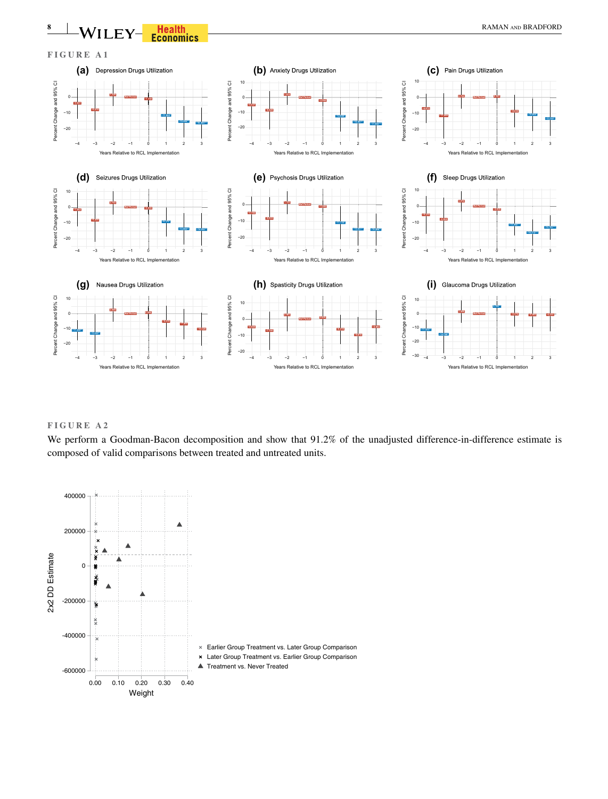

## **FIGURE A2**

We perform a Goodman-Bacon decomposition and show that 91.2% of the unadjusted difference-in-difference estimate is composed of valid comparisons between treated and untreated units.